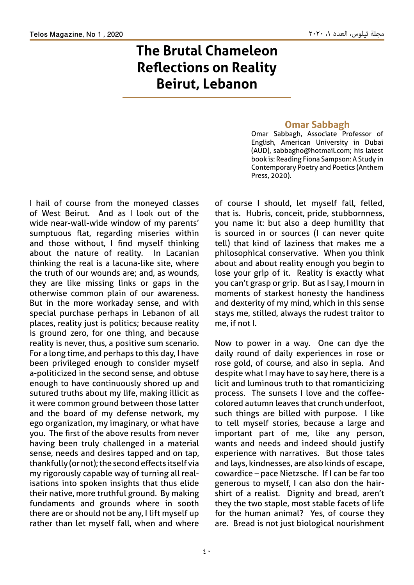#### **Omar Sabbagh**

Omar Sabbagh, Associate Professor of English, American University in Dubai (AUD), sabbagho@hotmail.com; his latest book is: Reading Fiona Sampson: A Study in Contemporary Poetry and Poetics (Anthem Press, 2020).

I hail of course from the moneyed classes of West Beirut. And as I look out of the wide near-wall-wide window of my parents' sumptuous flat, regarding miseries within and those without, I find myself thinking about the nature of reality. In Lacanian thinking the real is a lacuna-like site, where the truth of our wounds are; and, as wounds, they are like missing links or gaps in the otherwise common plain of our awareness. But in the more workaday sense, and with special purchase perhaps in Lebanon of all places, reality just is politics; because reality is ground zero, for one thing, and because reality is never, thus, a positive sum scenario. For a long time, and perhaps to this day, I have been privileged enough to consider myself a-politicized in the second sense, and obtuse enough to have continuously shored up and sutured truths about my life, making illicit as it were common ground between those latter and the board of my defense network, my ego organization, my imaginary, or what have you. The first of the above results from never having been truly challenged in a material sense, needs and desires tapped and on tap, thankfully (or not); the second effects itself via my rigorously capable way of turning all realisations into spoken insights that thus elide their native, more truthful ground. By making fundaments and grounds where in sooth there are or should not be any, I lift myself up rather than let myself fall, when and where

of course I should, let myself fall, felled, that is. Hubris, conceit, pride, stubbornness, you name it: but also a deep humility that is sourced in or sources (I can never quite tell) that kind of laziness that makes me a philosophical conservative. When you think about and about reality enough you begin to lose your grip of it. Reality is exactly what you can't grasp or grip. But as I say, I mourn in moments of starkest honesty the handiness and dexterity of my mind, which in this sense stays me, stilled, always the rudest traitor to me, if not I.

Now to power in a way. One can dye the daily round of daily experiences in rose or rose gold, of course, and also in sepia. And despite what I may have to say here, there is a licit and luminous truth to that romanticizing process. The sunsets I love and the coffeecolored autumn leaves that crunch underfoot, such things are billed with purpose. I like to tell myself stories, because a large and important part of me, like any person, wants and needs and indeed should justify experience with narratives. But those tales and lays, kindnesses, are also kinds of escape, cowardice – pace Nietzsche. If I can be far too generous to myself, I can also don the hairshirt of a realist. Dignity and bread, aren't they the two staple, most stable facets of life for the human animal? Yes, of course they are. Bread is not just biological nourishment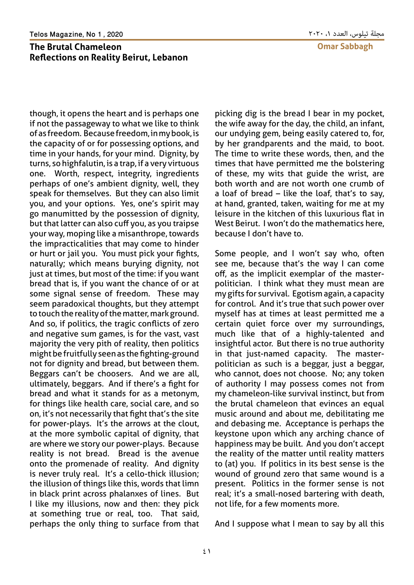**Omar Sabbagh**

though, it opens the heart and is perhaps one if not the passageway to what we like to think of as freedom. Because freedom, in my book, is the capacity of or for possessing options, and time in your hands, for your mind. Dignity, by turns, so highfalutin, is a trap, if a very virtuous one. Worth, respect, integrity, ingredients perhaps of one's ambient dignity, well, they speak for themselves. But they can also limit you, and your options. Yes, one's spirit may go manumitted by the possession of dignity, but that latter can also cuff you, as you traipse your way, moping like a misanthrope, towards the impracticalities that may come to hinder or hurt or jail you. You must pick your fights, naturally; which means burying dignity, not just at times, but most of the time: if you want bread that is, if you want the chance of or at some signal sense of freedom. These may seem paradoxical thoughts, but they attempt to touch the reality of the matter, mark ground. And so, if politics, the tragic conflicts of zero and negative sum games, is for the vast, vast majority the very pith of reality, then politics might be fruitfully seen as the fighting-ground not for dignity and bread, but between them. Beggars can't be choosers. And we are all, ultimately, beggars. And if there's a fight for bread and what it stands for as a metonym, for things like health care, social care, and so on, it's not necessarily that fight that's the site for power-plays. It's the arrows at the clout, at the more symbolic capital of dignity, that are where we story our power-plays. Because reality is not bread. Bread is the avenue onto the promenade of reality. And dignity is never truly real. It's a cello-thick illusion; the illusion of things like this, words that limn in black print across phalanxes of lines. But I like my illusions, now and then: they pick at something true or real, too. That said, perhaps the only thing to surface from that

picking dig is the bread I bear in my pocket, the wife away for the day, the child, an infant, our undying gem, being easily catered to, for, by her grandparents and the maid, to boot. The time to write these words, then, and the times that have permitted me the bolstering of these, my wits that guide the wrist, are both worth and are not worth one crumb of a loaf of bread – like the loaf, that's to say, at hand, granted, taken, waiting for me at my leisure in the kitchen of this luxurious flat in West Beirut. I won't do the mathematics here, because I don't have to.

Some people, and I won't say who, often see me, because that's the way I can come off, as the implicit exemplar of the masterpolitician. I think what they must mean are my gifts for survival. Egotism again, a capacity for control. And it's true that such power over myself has at times at least permitted me a certain quiet force over my surroundings, much like that of a highly-talented and insightful actor. But there is no true authority in that just-named capacity. The masterpolitician as such is a beggar, just a beggar, who cannot, does not choose. No; any token of authority I may possess comes not from my chameleon-like survival instinct, but from the brutal chameleon that evinces an equal music around and about me, debilitating me and debasing me. Acceptance is perhaps the keystone upon which any arching chance of happiness may be built. And you don't accept the reality of the matter until reality matters to (at) you. If politics in its best sense is the wound of ground zero that same wound is a present. Politics in the former sense is not real; it's a small-nosed bartering with death, not life, for a few moments more.

And I suppose what I mean to say by all this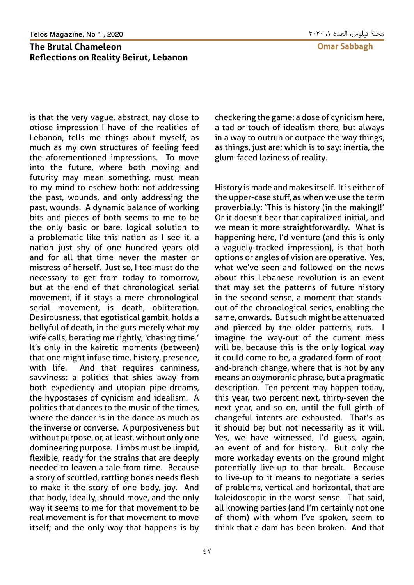is that the very vague, abstract, nay close to otiose impression I have of the realities of Lebanon, tells me things about myself, as much as my own structures of feeling feed the aforementioned impressions. To move into the future, where both moving and futurity may mean something, must mean to my mind to eschew both: not addressing the past, wounds, and only addressing the past, wounds. A dynamic balance of working bits and pieces of both seems to me to be the only basic or bare, logical solution to a problematic like this nation as I see it, a nation just shy of one hundred years old and for all that time never the master or mistress of herself. Just so, I too must do the necessary to get from today to tomorrow, but at the end of that chronological serial movement, if it stays a mere chronological serial movement, is death, obliteration. Desirousness, that egotistical gambit, holds a bellyful of death, in the guts merely what my wife calls, berating me rightly, 'chasing time.' It's only in the kairetic moments (between) that one might infuse time, history, presence, with life. And that requires canniness, savviness: a politics that shies away from both expediency and utopian pipe-dreams, the hypostases of cynicism and idealism. A politics that dances to the music of the times, where the dancer is in the dance as much as the inverse or converse. A purposiveness but without purpose, or, at least, without only one domineering purpose. Limbs must be limpid, flexible, ready for the strains that are deeply needed to leaven a tale from time. Because a story of scuttled, rattling bones needs flesh to make it the story of one body, joy. And that body, ideally, should move, and the only way it seems to me for that movement to be real movement is for that movement to move itself; and the only way that happens is by

checkering the game: a dose of cynicism here, a tad or touch of idealism there, but always in a way to outrun or outpace the way things, as things, just are; which is to say: inertia, the glum-faced laziness of reality.

History is made and makes itself. It is either of the upper-case stuff, as when we use the term proverbially: 'This is history (in the making)!' Or it doesn't bear that capitalized initial, and we mean it more straightforwardly. What is happening here, I'd venture (and this is only a vaguely-tracked impression), is that both options or angles of vision are operative. Yes, what we've seen and followed on the news about this Lebanese revolution is an event that may set the patterns of future history in the second sense, a moment that standsout of the chronological series, enabling the same, onwards. But such might be attenuated and pierced by the older patterns, ruts. I imagine the way-out of the current mess will be, because this is the only logical way it could come to be, a gradated form of rootand-branch change, where that is not by any means an oxymoronic phrase, but a pragmatic description. Ten percent may happen today, this year, two percent next, thirty-seven the next year, and so on, until the full girth of changeful intents are exhausted. That's as it should be; but not necessarily as it will. Yes, we have witnessed, I'd guess, again, an event of and for history. But only the more workaday events on the ground might potentially live-up to that break. Because to live-up to it means to negotiate a series of problems, vertical and horizontal, that are kaleidoscopic in the worst sense. That said, all knowing parties (and I'm certainly not one of them) with whom I've spoken, seem to think that a dam has been broken. And that

**Omar Sabbagh**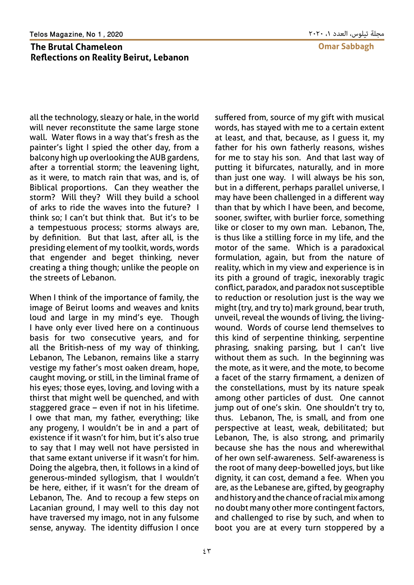**Omar Sabbagh**

all the technology, sleazy or hale, in the world will never reconstitute the same large stone wall. Water flows in a way that's fresh as the painter's light I spied the other day, from a balcony high up overlooking the AUB gardens, after a torrential storm; the leavening light, as it were, to match rain that was, and is, of Biblical proportions. Can they weather the storm? Will they? Will they build a school of arks to ride the waves into the future? I think so; I can't but think that. But it's to be a tempestuous process; storms always are, by definition. But that last, after all, is the presiding element of my toolkit, words, words that engender and beget thinking, never creating a thing though; unlike the people on the streets of Lebanon.

When I think of the importance of family, the image of Beirut looms and weaves and knits loud and large in my mind's eye. Though I have only ever lived here on a continuous basis for two consecutive years, and for all the British-ness of my way of thinking, Lebanon, The Lebanon, remains like a starry vestige my father's most oaken dream, hope, caught moving, or still, in the liminal frame of his eyes; those eyes, loving, and loving with a thirst that might well be quenched, and with staggered grace – even if not in his lifetime. I owe that man, my father, everything; like any progeny, I wouldn't be in and a part of existence if it wasn't for him, but it's also true to say that I may well not have persisted in that same extant universe if it wasn't for him. Doing the algebra, then, it follows in a kind of generous-minded syllogism, that I wouldn't be here, either, if it wasn't for the dream of Lebanon, The. And to recoup a few steps on Lacanian ground, I may well to this day not have traversed my imago, not in any fulsome sense, anyway. The identity diffusion I once

words, has stayed with me to a certain extent at least, and that, because, as I guess it, my father for his own fatherly reasons, wishes for me to stay his son. And that last way of putting it bifurcates, naturally, and in more than just one way. I will always be his son, but in a different, perhaps parallel universe, I may have been challenged in a different way than that by which I have been, and become, sooner, swifter, with burlier force, something like or closer to my own man. Lebanon, The, is thus like a stilling force in my life, and the motor of the same. Which is a paradoxical formulation, again, but from the nature of reality, which in my view and experience is in its pith a ground of tragic, inexorably tragic conflict, paradox, and paradox not susceptible to reduction or resolution just is the way we might (try, and try to) mark ground, bear truth, unveil, reveal the wounds of living, the livingwound. Words of course lend themselves to this kind of serpentine thinking, serpentine phrasing, snaking parsing, but I can't live without them as such. In the beginning was the mote, as it were, and the mote, to become a facet of the starry firmament, a denizen of the constellations, must by its nature speak among other particles of dust. One cannot jump out of one's skin. One shouldn't try to, thus. Lebanon, The, is small, and from one perspective at least, weak, debilitated; but Lebanon, The, is also strong, and primarily because she has the nous and wherewithal of her own self-awareness. Self-awareness is the root of many deep-bowelled joys, but like dignity, it can cost, demand a fee. When you are, as the Lebanese are, gifted, by geography and history and the chance of racial mix among no doubt many other more contingent factors, and challenged to rise by such, and when to boot you are at every turn stoppered by a

suffered from, source of my gift with musical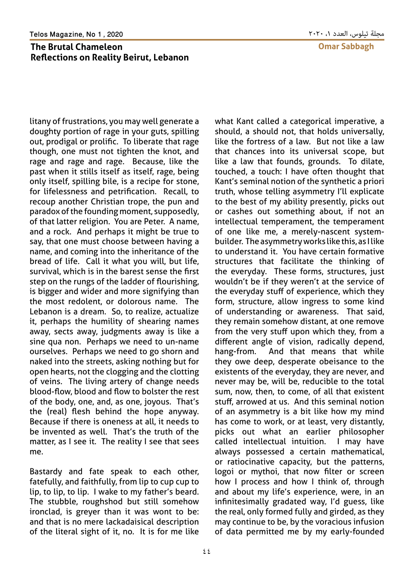**Omar Sabbagh**

litany of frustrations, you may well generate a doughty portion of rage in your guts, spilling out, prodigal or prolific. To liberate that rage though, one must not tighten the knot, and rage and rage and rage. Because, like the past when it stills itself as itself, rage, being only itself, spilling bile, is a recipe for stone, for lifelessness and petrification. Recall, to recoup another Christian trope, the pun and paradox of the founding moment, supposedly, of that latter religion. You are Peter. A name, and a rock. And perhaps it might be true to say, that one must choose between having a name, and coming into the inheritance of the bread of life. Call it what you will, but life, survival, which is in the barest sense the first step on the rungs of the ladder of flourishing, is bigger and wider and more signifying than the most redolent, or dolorous name. The Lebanon is a dream. So, to realize, actualize it, perhaps the humility of shearing names away, sects away, judgments away is like a sine qua non. Perhaps we need to un-name ourselves. Perhaps we need to go shorn and naked into the streets, asking nothing but for open hearts, not the clogging and the clotting of veins. The living artery of change needs blood-flow, blood and flow to bolster the rest of the body, one, and, as one, joyous. That's the (real) flesh behind the hope anyway. Because if there is oneness at all, it needs to be invented as well. That's the truth of the matter, as I see it. The reality I see that sees me.

Bastardy and fate speak to each other, fatefully, and faithfully, from lip to cup cup to lip, to lip, to lip. I wake to my father's beard. The stubble, roughshod but still somehow ironclad, is greyer than it was wont to be: and that is no mere lackadaisical description of the literal sight of it, no. It is for me like

what Kant called a categorical imperative, a should, a should not, that holds universally, like the fortress of a law. But not like a law that chances into its universal scope, but like a law that founds, grounds. To dilate, touched, a touch: I have often thought that Kant's seminal notion of the synthetic a priori truth, whose telling asymmetry I'll explicate to the best of my ability presently, picks out or cashes out something about, if not an intellectual temperament, the temperament of one like me, a merely-nascent systembuilder. The asymmetry works like this, as I like to understand it. You have certain formative structures that facilitate the thinking of the everyday. These forms, structures, just wouldn't be if they weren't at the service of the everyday stuff of experience, which they form, structure, allow ingress to some kind of understanding or awareness. That said, they remain somehow distant, at one remove from the very stuff upon which they, from a different angle of vision, radically depend, hang-from. And that means that while they owe deep, desperate obeisance to the existents of the everyday, they are never, and never may be, will be, reducible to the total sum, now, then, to come, of all that existent stuff, arrowed at us. And this seminal notion of an asymmetry is a bit like how my mind has come to work, or at least, very distantly, picks out what an earlier philosopher called intellectual intuition. I may have always possessed a certain mathematical, or ratiocinative capacity, but the patterns, logoi or mythoi, that now filter or screen how I process and how I think of, through and about my life's experience, were, in an infinitesimally gradated way, I'd guess, like the real, only formed fully and girded, as they may continue to be, by the voracious infusion of data permitted me by my early-founded